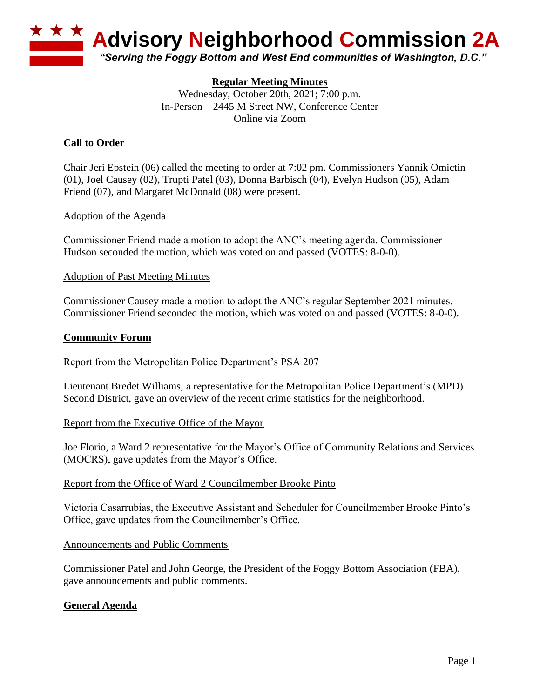

### **Regular Meeting Minutes**

Wednesday, October 20th, 2021; 7:00 p.m. In-Person – 2445 M Street NW, Conference Center Online via Zoom

## **Call to Order**

Chair Jeri Epstein (06) called the meeting to order at 7:02 pm. Commissioners Yannik Omictin (01), Joel Causey (02), Trupti Patel (03), Donna Barbisch (04), Evelyn Hudson (05), Adam Friend (07), and Margaret McDonald (08) were present.

#### Adoption of the Agenda

Commissioner Friend made a motion to adopt the ANC's meeting agenda. Commissioner Hudson seconded the motion, which was voted on and passed (VOTES: 8-0-0).

#### Adoption of Past Meeting Minutes

Commissioner Causey made a motion to adopt the ANC's regular September 2021 minutes. Commissioner Friend seconded the motion, which was voted on and passed (VOTES: 8-0-0).

#### **Community Forum**

Report from the Metropolitan Police Department's PSA 207

Lieutenant Bredet Williams, a representative for the Metropolitan Police Department's (MPD) Second District, gave an overview of the recent crime statistics for the neighborhood.

#### Report from the Executive Office of the Mayor

Joe Florio, a Ward 2 representative for the Mayor's Office of Community Relations and Services (MOCRS), gave updates from the Mayor's Office.

#### Report from the Office of Ward 2 Councilmember Brooke Pinto

Victoria Casarrubias, the Executive Assistant and Scheduler for Councilmember Brooke Pinto's Office, gave updates from the Councilmember's Office.

#### Announcements and Public Comments

Commissioner Patel and John George, the President of the Foggy Bottom Association (FBA), gave announcements and public comments.

### **General Agenda**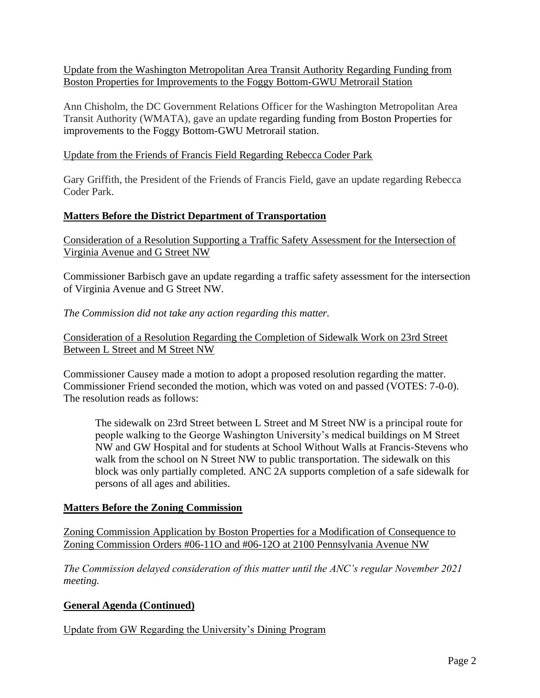Update from the Washington Metropolitan Area Transit Authority Regarding Funding from Boston Properties for Improvements to the Foggy Bottom-GWU Metrorail Station

Ann Chisholm, the DC Government Relations Officer for the Washington Metropolitan Area Transit Authority (WMATA), gave an update regarding funding from Boston Properties for improvements to the Foggy Bottom-GWU Metrorail station.

### Update from the Friends of Francis Field Regarding Rebecca Coder Park

Gary Griffith, the President of the Friends of Francis Field, gave an update regarding Rebecca Coder Park.

### **Matters Before the District Department of Transportation**

Consideration of a Resolution Supporting a Traffic Safety Assessment for the Intersection of Virginia Avenue and G Street NW

Commissioner Barbisch gave an update regarding a traffic safety assessment for the intersection of Virginia Avenue and G Street NW.

### *The Commission did not take any action regarding this matter.*

Consideration of a Resolution Regarding the Completion of Sidewalk Work on 23rd Street Between L Street and M Street NW

Commissioner Causey made a motion to adopt a proposed resolution regarding the matter. Commissioner Friend seconded the motion, which was voted on and passed (VOTES: 7-0-0). The resolution reads as follows:

The sidewalk on 23rd Street between L Street and M Street NW is a principal route for people walking to the George Washington University's medical buildings on M Street NW and GW Hospital and for students at School Without Walls at Francis-Stevens who walk from the school on N Street NW to public transportation. The sidewalk on this block was only partially completed. ANC 2A supports completion of a safe sidewalk for persons of all ages and abilities.

### **Matters Before the Zoning Commission**

Zoning Commission Application by Boston Properties for a Modification of Consequence to Zoning Commission Orders #06-11O and #06-12O at 2100 Pennsylvania Avenue NW

*The Commission delayed consideration of this matter until the ANC's regular November 2021 meeting.*

# **General Agenda (Continued)**

Update from GW Regarding the University's Dining Program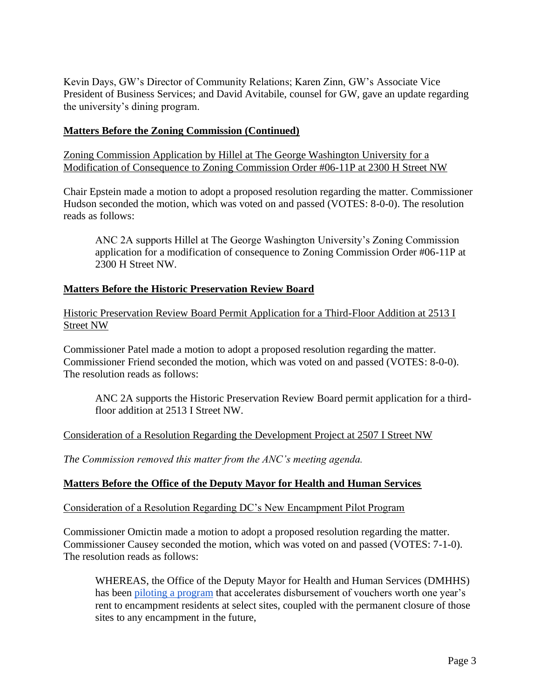Kevin Days, GW's Director of Community Relations; Karen Zinn, GW's Associate Vice President of Business Services; and David Avitabile, counsel for GW, gave an update regarding the university's dining program.

### **Matters Before the Zoning Commission (Continued)**

Zoning Commission Application by Hillel at The George Washington University for a Modification of Consequence to Zoning Commission Order #06-11P at 2300 H Street NW

Chair Epstein made a motion to adopt a proposed resolution regarding the matter. Commissioner Hudson seconded the motion, which was voted on and passed (VOTES: 8-0-0). The resolution reads as follows:

ANC 2A supports Hillel at The George Washington University's Zoning Commission application for a modification of consequence to Zoning Commission Order #06-11P at 2300 H Street NW.

### **Matters Before the Historic Preservation Review Board**

Historic Preservation Review Board Permit Application for a Third-Floor Addition at 2513 I Street NW

Commissioner Patel made a motion to adopt a proposed resolution regarding the matter. Commissioner Friend seconded the motion, which was voted on and passed (VOTES: 8-0-0). The resolution reads as follows:

ANC 2A supports the Historic Preservation Review Board permit application for a thirdfloor addition at 2513 I Street NW.

Consideration of a Resolution Regarding the Development Project at 2507 I Street NW

*The Commission removed this matter from the ANC's meeting agenda.*

### **Matters Before the Office of the Deputy Mayor for Health and Human Services**

Consideration of a Resolution Regarding DC's New Encampment Pilot Program

Commissioner Omictin made a motion to adopt a proposed resolution regarding the matter. Commissioner Causey seconded the motion, which was voted on and passed (VOTES: 7-1-0). The resolution reads as follows:

WHEREAS, the Office of the Deputy Mayor for Health and Human Services (DMHHS) has bee[n](https://dmhhs.dc.gov/sites/default/files/dc/sites/dmhhs/Encampment%20Pilot%20Information%20Sheet.pdf) [piloting a program](https://dmhhs.dc.gov/sites/default/files/dc/sites/dmhhs/Encampment%20Pilot%20Information%20Sheet.pdf) that accelerates disbursement of vouchers worth one year's rent to encampment residents at select sites, coupled with the permanent closure of those sites to any encampment in the future,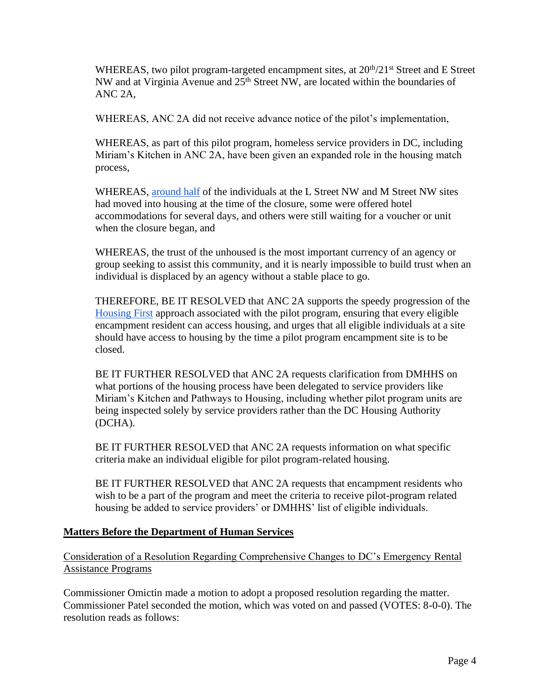WHEREAS, two pilot program-targeted encampment sites, at  $20<sup>th</sup>/21<sup>st</sup>$  Street and E Street NW and at Virginia Avenue and 25<sup>th</sup> Street NW, are located within the boundaries of ANC 2A,

WHEREAS, ANC 2A did not receive advance notice of the pilot's implementation,

WHEREAS, as part of this pilot program, homeless service providers in DC, including Miriam's Kitchen in ANC 2A, have been given an expanded role in the housing match process,

WHEREAS[,](https://dcist.com/story/21/10/01/dc-makes-final-push-to-close-down-noma-encampments/) [around half](https://dcist.com/story/21/10/01/dc-makes-final-push-to-close-down-noma-encampments/) of the individuals at the L Street NW and M Street NW sites had moved into housing at the time of the closure, some were offered hotel accommodations for several days, and others were still waiting for a voucher or unit when the closure began, and

WHEREAS, the trust of the unhoused is the most important currency of an agency or group seeking to assist this community, and it is nearly impossible to build trust when an individual is displaced by an agency without a stable place to go.

THEREFORE, BE IT RESOLVED that ANC 2A supports the speedy progression of th[e](https://endhomelessness.org/resource/housing-first/) [Housing First](https://endhomelessness.org/resource/housing-first/) approach associated with the pilot program, ensuring that every eligible encampment resident can access housing, and urges that all eligible individuals at a site should have access to housing by the time a pilot program encampment site is to be closed.

BE IT FURTHER RESOLVED that ANC 2A requests clarification from DMHHS on what portions of the housing process have been delegated to service providers like Miriam's Kitchen and Pathways to Housing, including whether pilot program units are being inspected solely by service providers rather than the DC Housing Authority (DCHA).

BE IT FURTHER RESOLVED that ANC 2A requests information on what specific criteria make an individual eligible for pilot program-related housing.

BE IT FURTHER RESOLVED that ANC 2A requests that encampment residents who wish to be a part of the program and meet the criteria to receive pilot-program related housing be added to service providers' or DMHHS' list of eligible individuals.

### **Matters Before the Department of Human Services**

Consideration of a Resolution Regarding Comprehensive Changes to DC's Emergency Rental Assistance Programs

Commissioner Omictin made a motion to adopt a proposed resolution regarding the matter. Commissioner Patel seconded the motion, which was voted on and passed (VOTES: 8-0-0). The resolution reads as follows: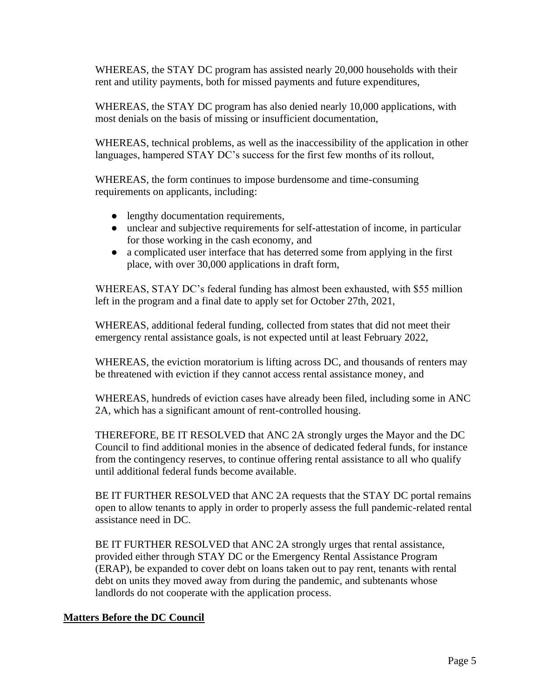WHEREAS, the STAY DC program has assisted nearly 20,000 households with their rent and utility payments, both for missed payments and future expenditures,

WHEREAS, the STAY DC program has also denied nearly 10,000 applications, with most denials on the basis of missing or insufficient documentation,

WHEREAS, technical problems, as well as the inaccessibility of the application in other languages, hampered STAY DC's success for the first few months of its rollout,

WHEREAS, the form continues to impose burdensome and time-consuming requirements on applicants, including:

- lengthy documentation requirements,
- unclear and subjective requirements for self-attestation of income, in particular for those working in the cash economy, and
- a complicated user interface that has deterred some from applying in the first place, with over 30,000 applications in draft form,

WHEREAS, STAY DC's federal funding has almost been exhausted, with \$55 million left in the program and a final date to apply set for October 27th, 2021,

WHEREAS, additional federal funding, collected from states that did not meet their emergency rental assistance goals, is not expected until at least February 2022,

WHEREAS, the eviction moratorium is lifting across DC, and thousands of renters may be threatened with eviction if they cannot access rental assistance money, and

WHEREAS, hundreds of eviction cases have already been filed, including some in ANC 2A, which has a significant amount of rent-controlled housing.

THEREFORE, BE IT RESOLVED that ANC 2A strongly urges the Mayor and the DC Council to find additional monies in the absence of dedicated federal funds, for instance from the contingency reserves, to continue offering rental assistance to all who qualify until additional federal funds become available.

BE IT FURTHER RESOLVED that ANC 2A requests that the STAY DC portal remains open to allow tenants to apply in order to properly assess the full pandemic-related rental assistance need in DC.

BE IT FURTHER RESOLVED that ANC 2A strongly urges that rental assistance, provided either through STAY DC or the Emergency Rental Assistance Program (ERAP), be expanded to cover debt on loans taken out to pay rent, tenants with rental debt on units they moved away from during the pandemic, and subtenants whose landlords do not cooperate with the application process.

# **Matters Before the DC Council**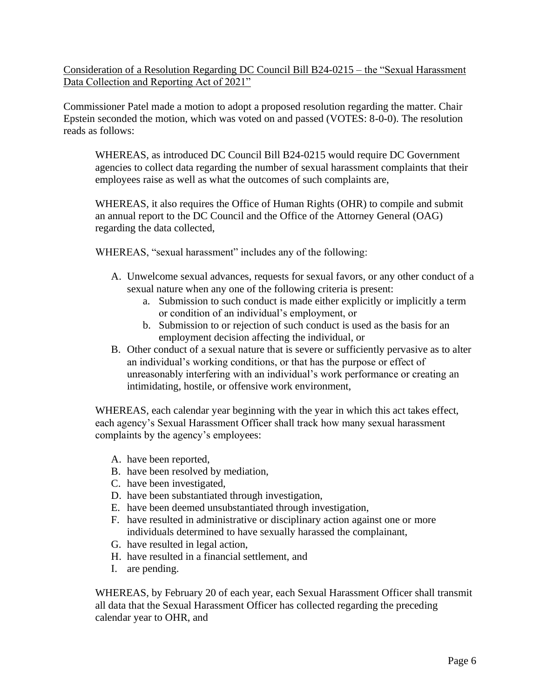Consideration of a Resolution Regarding DC Council Bill B24-0215 – the "Sexual Harassment Data Collection and Reporting Act of 2021"

Commissioner Patel made a motion to adopt a proposed resolution regarding the matter. Chair Epstein seconded the motion, which was voted on and passed (VOTES: 8-0-0). The resolution reads as follows:

WHEREAS, as introduced DC Council Bill B24-0215 would require DC Government agencies to collect data regarding the number of sexual harassment complaints that their employees raise as well as what the outcomes of such complaints are,

WHEREAS, it also requires the Office of Human Rights (OHR) to compile and submit an annual report to the DC Council and the Office of the Attorney General (OAG) regarding the data collected,

WHEREAS, "sexual harassment" includes any of the following:

- A. Unwelcome sexual advances, requests for sexual favors, or any other conduct of a sexual nature when any one of the following criteria is present:
	- a. Submission to such conduct is made either explicitly or implicitly a term or condition of an individual's employment, or
	- b. Submission to or rejection of such conduct is used as the basis for an employment decision affecting the individual, or
- B. Other conduct of a sexual nature that is severe or sufficiently pervasive as to alter an individual's working conditions, or that has the purpose or effect of unreasonably interfering with an individual's work performance or creating an intimidating, hostile, or offensive work environment,

WHEREAS, each calendar year beginning with the year in which this act takes effect, each agency's Sexual Harassment Officer shall track how many sexual harassment complaints by the agency's employees:

- A. have been reported,
- B. have been resolved by mediation,
- C. have been investigated,
- D. have been substantiated through investigation,
- E. have been deemed unsubstantiated through investigation,
- F. have resulted in administrative or disciplinary action against one or more individuals determined to have sexually harassed the complainant,
- G. have resulted in legal action,
- H. have resulted in a financial settlement, and
- I. are pending.

WHEREAS, by February 20 of each year, each Sexual Harassment Officer shall transmit all data that the Sexual Harassment Officer has collected regarding the preceding calendar year to OHR, and